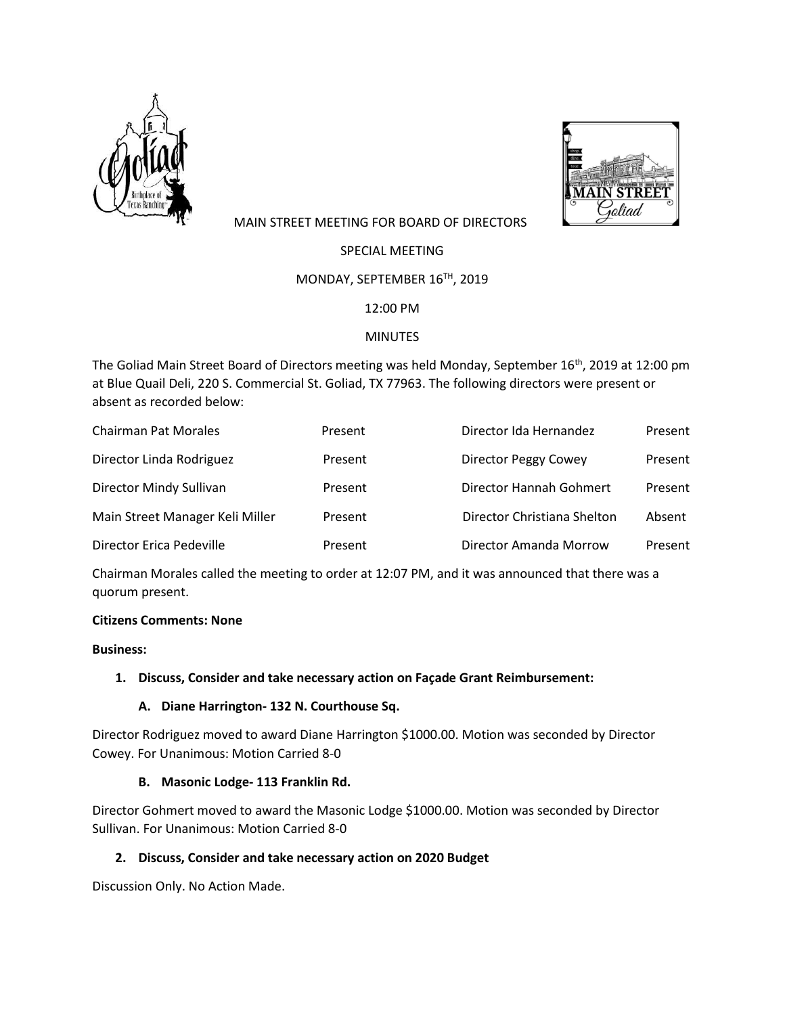



# MAIN STREET MEETING FOR BOARD OF DIRECTORS

SPECIAL MEETING

## MONDAY, SEPTEMBER 16TH, 2019

12:00 PM

## **MINUTES**

The Goliad Main Street Board of Directors meeting was held Monday, September 16<sup>th</sup>, 2019 at 12:00 pm at Blue Quail Deli, 220 S. Commercial St. Goliad, TX 77963. The following directors were present or absent as recorded below:

| <b>Chairman Pat Morales</b>     | Present | Director Ida Hernandez      | Present |
|---------------------------------|---------|-----------------------------|---------|
| Director Linda Rodriguez        | Present | Director Peggy Cowey        | Present |
| Director Mindy Sullivan         | Present | Director Hannah Gohmert     | Present |
| Main Street Manager Keli Miller | Present | Director Christiana Shelton | Absent  |
| Director Erica Pedeville        | Present | Director Amanda Morrow      | Present |

Chairman Morales called the meeting to order at 12:07 PM, and it was announced that there was a quorum present.

#### **Citizens Comments: None**

#### **Business:**

# **1. Discuss, Consider and take necessary action on Façade Grant Reimbursement:**

#### **A. Diane Harrington- 132 N. Courthouse Sq.**

Director Rodriguez moved to award Diane Harrington \$1000.00. Motion was seconded by Director Cowey. For Unanimous: Motion Carried 8-0

#### **B. Masonic Lodge- 113 Franklin Rd.**

Director Gohmert moved to award the Masonic Lodge \$1000.00. Motion was seconded by Director Sullivan. For Unanimous: Motion Carried 8-0

# **2. Discuss, Consider and take necessary action on 2020 Budget**

Discussion Only. No Action Made.